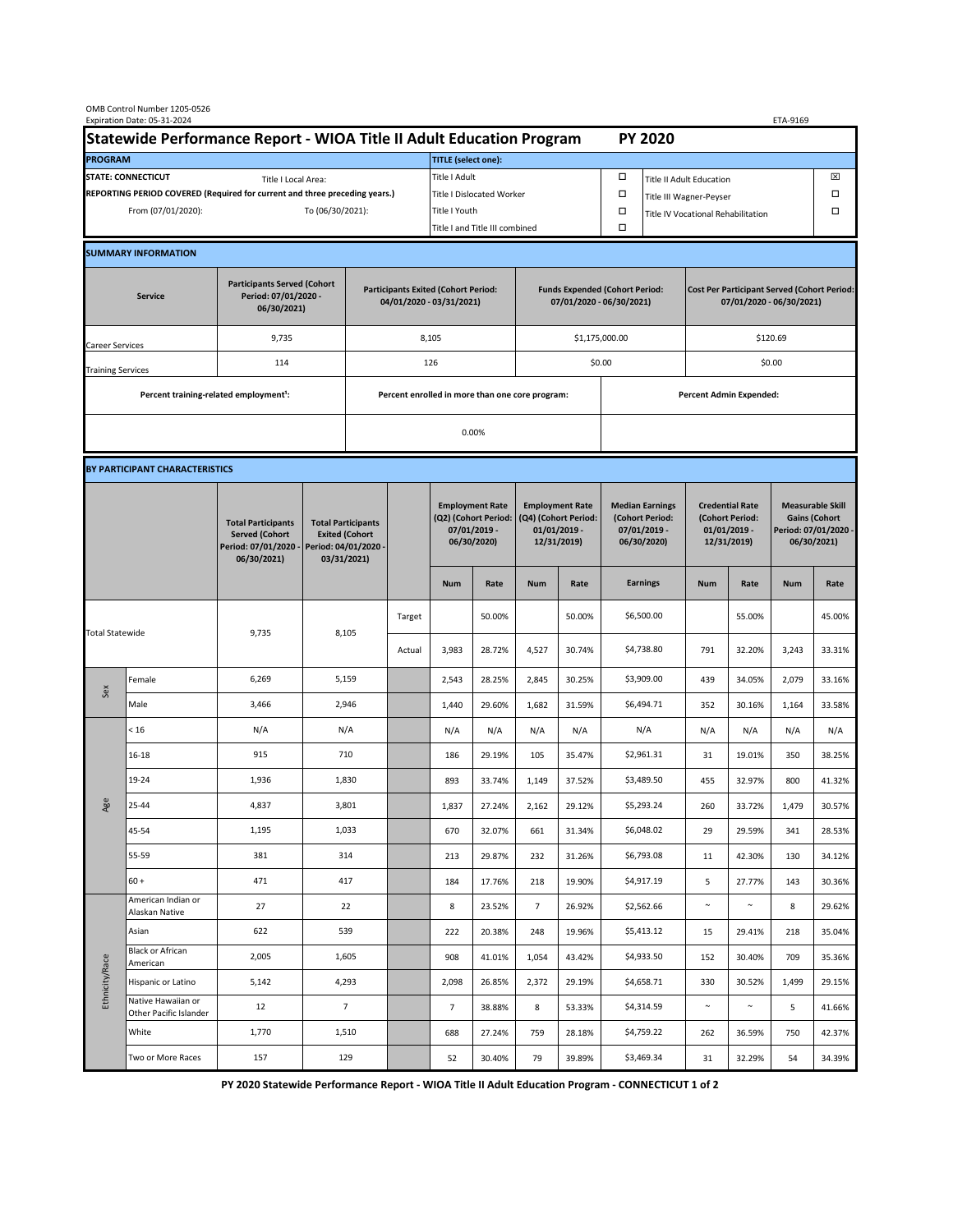| OMB Control Number 1205-0526<br>Expiration Date: 05-31-2024<br>ETA-9169                     |                                                    |                                                                                           |                                                                        |                                                                   |                                                 |                                                                               |                                                                   |                                                                                 |                                      |                                                                                |                 |                                                                            |        |                                                                                        |        |  |
|---------------------------------------------------------------------------------------------|----------------------------------------------------|-------------------------------------------------------------------------------------------|------------------------------------------------------------------------|-------------------------------------------------------------------|-------------------------------------------------|-------------------------------------------------------------------------------|-------------------------------------------------------------------|---------------------------------------------------------------------------------|--------------------------------------|--------------------------------------------------------------------------------|-----------------|----------------------------------------------------------------------------|--------|----------------------------------------------------------------------------------------|--------|--|
| Statewide Performance Report - WIOA Title II Adult Education Program                        |                                                    |                                                                                           |                                                                        |                                                                   |                                                 |                                                                               |                                                                   |                                                                                 |                                      |                                                                                | <b>PY 2020</b>  |                                                                            |        |                                                                                        |        |  |
| <b>PROGRAM</b>                                                                              |                                                    |                                                                                           |                                                                        |                                                                   |                                                 | <b>TITLE (select one):</b>                                                    |                                                                   |                                                                                 |                                      |                                                                                |                 |                                                                            |        |                                                                                        |        |  |
| <b>STATE: CONNECTICUT</b><br>Title I Local Area:                                            |                                                    |                                                                                           |                                                                        |                                                                   | Title I Adult                                   |                                                                               |                                                                   |                                                                                 | □<br><b>Title II Adult Education</b> |                                                                                |                 |                                                                            |        | ⊠                                                                                      |        |  |
| REPORTING PERIOD COVERED (Required for current and three preceding years.)                  |                                                    |                                                                                           |                                                                        |                                                                   | <b>Title I Dislocated Worker</b>                |                                                                               |                                                                   |                                                                                 | $\Box$                               | $\Box$<br>Title III Wagner-Peyser                                              |                 |                                                                            |        |                                                                                        |        |  |
| From (07/01/2020):<br>To (06/30/2021):                                                      |                                                    |                                                                                           |                                                                        |                                                                   | Title I Youth                                   |                                                                               |                                                                   |                                                                                 | $\Box$                               | $\Box$<br>Title IV Vocational Rehabilitation                                   |                 |                                                                            |        |                                                                                        |        |  |
|                                                                                             |                                                    |                                                                                           |                                                                        |                                                                   |                                                 | Title I and Title III combined                                                |                                                                   |                                                                                 |                                      | Ω                                                                              |                 |                                                                            |        |                                                                                        |        |  |
|                                                                                             | <b>SUMMARY INFORMATION</b>                         |                                                                                           |                                                                        |                                                                   |                                                 |                                                                               |                                                                   |                                                                                 |                                      |                                                                                |                 |                                                                            |        |                                                                                        |        |  |
| <b>Participants Served (Cohort</b><br>Period: 07/01/2020 -<br><b>Service</b><br>06/30/2021) |                                                    |                                                                                           | <b>Participants Exited (Cohort Period:</b><br>04/01/2020 - 03/31/2021) |                                                                   |                                                 |                                                                               | <b>Funds Expended (Cohort Period:</b><br>07/01/2020 - 06/30/2021) |                                                                                 |                                      | <b>Cost Per Participant Served (Cohort Period:</b><br>07/01/2020 - 06/30/2021) |                 |                                                                            |        |                                                                                        |        |  |
| Career Services                                                                             |                                                    | 9,735                                                                                     |                                                                        |                                                                   |                                                 | 8,105                                                                         |                                                                   |                                                                                 |                                      | \$1,175,000.00                                                                 |                 | \$120.69                                                                   |        |                                                                                        |        |  |
| <b>Training Services</b>                                                                    |                                                    | 114                                                                                       |                                                                        | 126                                                               |                                                 |                                                                               |                                                                   | \$0.00                                                                          |                                      | \$0.00                                                                         |                 |                                                                            |        |                                                                                        |        |  |
|                                                                                             | Percent training-related employment <sup>1</sup> : |                                                                                           |                                                                        |                                                                   | Percent enrolled in more than one core program: |                                                                               |                                                                   |                                                                                 |                                      | <b>Percent Admin Expended:</b>                                                 |                 |                                                                            |        |                                                                                        |        |  |
|                                                                                             |                                                    |                                                                                           |                                                                        | 0.00%                                                             |                                                 |                                                                               |                                                                   |                                                                                 |                                      |                                                                                |                 |                                                                            |        |                                                                                        |        |  |
|                                                                                             |                                                    |                                                                                           |                                                                        |                                                                   |                                                 |                                                                               |                                                                   |                                                                                 |                                      |                                                                                |                 |                                                                            |        |                                                                                        |        |  |
| BY PARTICIPANT CHARACTERISTICS                                                              |                                                    |                                                                                           |                                                                        |                                                                   |                                                 |                                                                               |                                                                   |                                                                                 |                                      |                                                                                |                 |                                                                            |        |                                                                                        |        |  |
|                                                                                             |                                                    | <b>Total Participants</b><br><b>Served (Cohort</b><br>Period: 07/01/2020 -<br>06/30/2021) | Period: 04/01/2020 -                                                   | <b>Total Participants</b><br><b>Exited (Cohort</b><br>03/31/2021) |                                                 | <b>Employment Rate</b><br>(Q2) (Cohort Period:<br>07/01/2019 -<br>06/30/2020) |                                                                   | <b>Employment Rate</b><br>(Q4) (Cohort Period:<br>$01/01/2019$ -<br>12/31/2019) |                                      | <b>Median Earnings</b><br>(Cohort Period:<br>$07/01/2019 -$<br>06/30/2020)     |                 | <b>Credential Rate</b><br>(Cohort Period:<br>$01/01/2019$ -<br>12/31/2019) |        | <b>Measurable Skill</b><br><b>Gains (Cohort</b><br>Period: 07/01/2020 -<br>06/30/2021) |        |  |
|                                                                                             |                                                    |                                                                                           |                                                                        |                                                                   |                                                 | <b>Num</b>                                                                    | Rate                                                              | <b>Num</b>                                                                      | Rate                                 |                                                                                | <b>Earnings</b> | <b>Num</b>                                                                 | Rate   | <b>Num</b>                                                                             | Rate   |  |
| <b>Total Statewide</b>                                                                      |                                                    | 9,735                                                                                     | 8,105                                                                  |                                                                   | Target                                          |                                                                               | 50.00%                                                            |                                                                                 | 50.00%                               |                                                                                | \$6,500.00      |                                                                            | 55.00% |                                                                                        | 45.00% |  |
|                                                                                             |                                                    |                                                                                           |                                                                        |                                                                   | Actual                                          | 3,983                                                                         | 28.72%                                                            | 4,527                                                                           | 30.74%                               |                                                                                | \$4,738.80      | 791                                                                        | 32.20% | 3,243                                                                                  | 33.31% |  |
| Sex                                                                                         | Female                                             | 6,269                                                                                     | 5,159                                                                  |                                                                   |                                                 | 2,543                                                                         | 28.25%                                                            | 2,845                                                                           | 30.25%                               |                                                                                | \$3,909.00      | 439                                                                        | 34.05% | 2,079                                                                                  | 33.16% |  |
|                                                                                             | Male                                               | 3,466                                                                                     | 2,946                                                                  |                                                                   |                                                 | 1,440                                                                         | 29.60%                                                            | 1,682                                                                           | 31.59%                               |                                                                                | \$6,494.71      | 352                                                                        | 30.16% | 1,164                                                                                  | 33.58% |  |
| Age                                                                                         | < 16                                               | N/A                                                                                       | N/A                                                                    |                                                                   |                                                 | N/A                                                                           | N/A                                                               | N/A                                                                             | N/A                                  |                                                                                | N/A             | N/A                                                                        | N/A    | N/A                                                                                    | N/A    |  |
|                                                                                             | 16-18                                              | 915                                                                                       | 710                                                                    |                                                                   |                                                 | 186                                                                           | 29.19%                                                            | 105                                                                             | 35.47%                               |                                                                                | \$2,961.31      | 31                                                                         | 19.01% | 350                                                                                    | 38.25% |  |
|                                                                                             | 19-24                                              | 1,936                                                                                     | 1,830                                                                  |                                                                   |                                                 | 893                                                                           | 33.74%                                                            | 1,149                                                                           | 37.52%                               |                                                                                | \$3,489.50      | 455                                                                        | 32.97% | 800                                                                                    | 41.32% |  |
|                                                                                             | 25-44                                              | 4,837                                                                                     | 3,801                                                                  |                                                                   |                                                 | 1,837                                                                         | 27.24%                                                            | 2,162                                                                           | 29.12%                               |                                                                                | \$5,293.24      | 260                                                                        | 33.72% | 1,479                                                                                  | 30.57% |  |
|                                                                                             | 45-54                                              | 1,195                                                                                     | 1,033                                                                  |                                                                   |                                                 | 670                                                                           | 32.07%                                                            | 661                                                                             | 31.34%                               |                                                                                | \$6,048.02      | 29                                                                         | 29.59% | 341                                                                                    | 28.53% |  |
|                                                                                             | 55-59                                              | 381                                                                                       | 314                                                                    |                                                                   |                                                 | 213                                                                           | 29.87%                                                            | 232                                                                             | 31.26%                               |                                                                                | \$6,793.08      | 11                                                                         | 42.30% | 130                                                                                    | 34.12% |  |
|                                                                                             | $60 +$                                             | 471                                                                                       | 417                                                                    |                                                                   |                                                 | 184                                                                           | 17.76%                                                            | 218                                                                             | 19.90%                               |                                                                                | \$4,917.19      | 5                                                                          | 27.77% | 143                                                                                    | 30.36% |  |
| Ethnicity/Race                                                                              | American Indian or<br>Alaskan Native               | 27                                                                                        | 22                                                                     |                                                                   |                                                 | 8                                                                             | 23.52%                                                            | $\overline{7}$                                                                  | 26.92%                               |                                                                                | \$2,562.66      | $\sim$                                                                     | $\sim$ | 8                                                                                      | 29.62% |  |
|                                                                                             | Asian                                              | 622                                                                                       | 539                                                                    |                                                                   |                                                 | 222                                                                           | 20.38%                                                            | 248                                                                             | 19.96%                               |                                                                                | \$5,413.12      | 15                                                                         | 29.41% | 218                                                                                    | 35.04% |  |
|                                                                                             | <b>Black or African</b><br>American                | 2,005                                                                                     | 1,605                                                                  |                                                                   |                                                 | 908                                                                           | 41.01%                                                            | 1,054                                                                           | 43.42%                               |                                                                                | \$4,933.50      | 152                                                                        | 30.40% | 709                                                                                    | 35.36% |  |
|                                                                                             | Hispanic or Latino                                 | 5,142                                                                                     | 4,293                                                                  |                                                                   |                                                 | 2,098                                                                         | 26.85%                                                            | 2,372                                                                           | 29.19%                               |                                                                                | \$4,658.71      | 330                                                                        | 30.52% | 1,499                                                                                  | 29.15% |  |
|                                                                                             | Native Hawaiian or<br>Other Pacific Islander       | 12                                                                                        | $7\overline{ }$                                                        |                                                                   |                                                 | 7                                                                             | 38.88%                                                            | 8                                                                               | 53.33%                               |                                                                                | \$4,314.59      | $\sim$                                                                     | $\sim$ | 5                                                                                      | 41.66% |  |
|                                                                                             | White                                              | 1,770                                                                                     | 1,510                                                                  |                                                                   |                                                 | 688                                                                           | 27.24%                                                            | 759                                                                             | 28.18%                               |                                                                                | \$4,759.22      | 262                                                                        | 36.59% | 750                                                                                    | 42.37% |  |
|                                                                                             | Two or More Races                                  | 157                                                                                       | 129                                                                    |                                                                   |                                                 | 52                                                                            | 30.40%                                                            | 79                                                                              | 39.89%                               |                                                                                | \$3,469.34      | 31                                                                         | 32.29% | 54                                                                                     | 34.39% |  |

 **PY 2020 Statewide Performance Report - WIOA Title II Adult Education Program - CONNECTICUT 1 of 2**